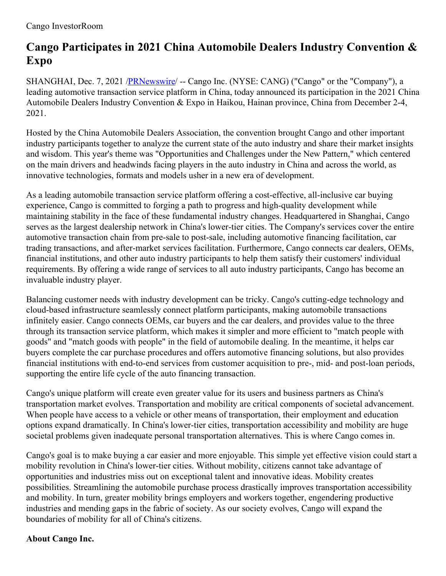## **Cango Participates in 2021 China Automobile Dealers Industry Convention & Expo**

SHANGHAI, Dec. 7, 2021 [/PRNewswire](http://www.prnewswire.com/)/ -- Cango Inc. (NYSE: CANG) ("Cango" or the "Company"), a leading automotive transaction service platform in China, today announced its participation in the 2021 China Automobile Dealers Industry Convention & Expo in Haikou, Hainan province, China from December 2-4, 2021.

Hosted by the China Automobile Dealers Association, the convention brought Cango and other important industry participants together to analyze the current state of the auto industry and share their market insights and wisdom. This year's theme was "Opportunities and Challenges under the New Pattern," which centered on the main drivers and headwinds facing players in the auto industry in China and across the world, as innovative technologies, formats and models usher in a new era of development.

As a leading automobile transaction service platform offering a cost-effective, all-inclusive car buying experience, Cango is committed to forging a path to progress and high-quality development while maintaining stability in the face of these fundamental industry changes. Headquartered in Shanghai, Cango serves as the largest dealership network in China's lower-tier cities. The Company's services cover the entire automotive transaction chain from pre-sale to post-sale, including automotive financing facilitation, car trading transactions, and after-market services facilitation. Furthermore, Cango connects car dealers, OEMs, financial institutions, and other auto industry participants to help them satisfy their customers' individual requirements. By offering a wide range of services to all auto industry participants, Cango has become an invaluable industry player.

Balancing customer needs with industry development can be tricky. Cango's cutting-edge technology and cloud-based infrastructure seamlessly connect platform participants, making automobile transactions infinitely easier. Cango connects OEMs, car buyers and the car dealers, and provides value to the three through its transaction service platform, which makes it simpler and more efficient to "match people with goods" and "match goods with people" in the field of automobile dealing. In the meantime, it helps car buyers complete the car purchase procedures and offers automotive financing solutions, but also provides financial institutions with end-to-end services from customer acquisition to pre-, mid- and post-loan periods, supporting the entire life cycle of the auto financing transaction.

Cango's unique platform will create even greater value for its users and business partners as China's transportation market evolves. Transportation and mobility are critical components of societal advancement. When people have access to a vehicle or other means of transportation, their employment and education options expand dramatically. In China's lower-tier cities, transportation accessibility and mobility are huge societal problems given inadequate personal transportation alternatives. This is where Cango comes in.

Cango's goal is to make buying a car easier and more enjoyable. This simple yet effective vision could start a mobility revolution in China's lower-tier cities. Without mobility, citizens cannot take advantage of opportunities and industries miss out on exceptional talent and innovative ideas. Mobility creates possibilities. Streamlining the automobile purchase process drastically improves transportation accessibility and mobility. In turn, greater mobility brings employers and workers together, engendering productive industries and mending gaps in the fabric of society. As our society evolves, Cango will expand the boundaries of mobility for all of China's citizens.

## **About Cango Inc.**